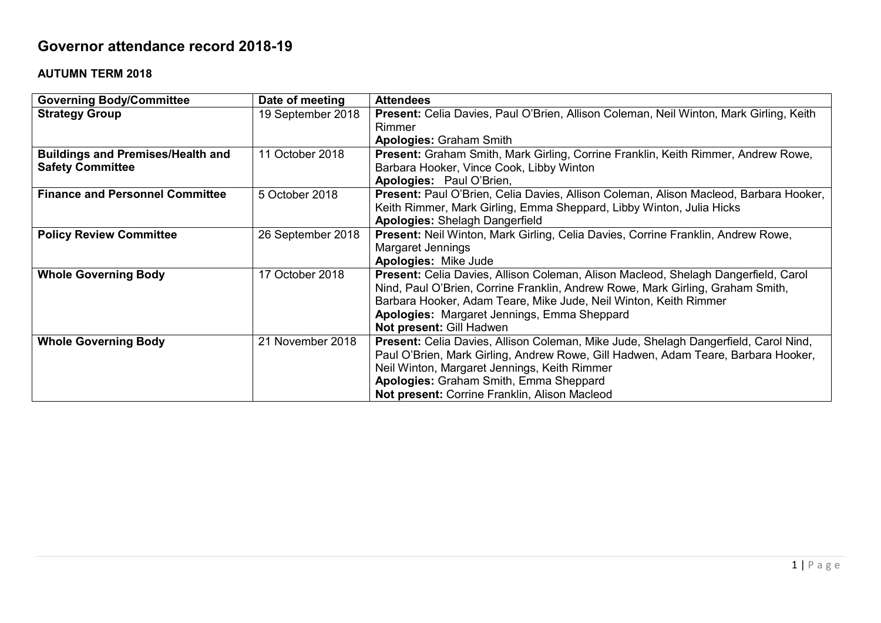## **Governor attendance record 2018-19**

## **AUTUMN TERM 2018**

| <b>Governing Body/Committee</b>          | Date of meeting   | <b>Attendees</b>                                                                       |
|------------------------------------------|-------------------|----------------------------------------------------------------------------------------|
| <b>Strategy Group</b>                    | 19 September 2018 | Present: Celia Davies, Paul O'Brien, Allison Coleman, Neil Winton, Mark Girling, Keith |
|                                          |                   | Rimmer                                                                                 |
|                                          |                   | <b>Apologies: Graham Smith</b>                                                         |
| <b>Buildings and Premises/Health and</b> | 11 October 2018   | Present: Graham Smith, Mark Girling, Corrine Franklin, Keith Rimmer, Andrew Rowe,      |
| <b>Safety Committee</b>                  |                   | Barbara Hooker, Vince Cook, Libby Winton                                               |
|                                          |                   | Apologies: Paul O'Brien,                                                               |
| <b>Finance and Personnel Committee</b>   | 5 October 2018    | Present: Paul O'Brien, Celia Davies, Allison Coleman, Alison Macleod, Barbara Hooker,  |
|                                          |                   | Keith Rimmer, Mark Girling, Emma Sheppard, Libby Winton, Julia Hicks                   |
|                                          |                   | <b>Apologies: Shelagh Dangerfield</b>                                                  |
| <b>Policy Review Committee</b>           | 26 September 2018 | Present: Neil Winton, Mark Girling, Celia Davies, Corrine Franklin, Andrew Rowe,       |
|                                          |                   | <b>Margaret Jennings</b>                                                               |
|                                          |                   | <b>Apologies: Mike Jude</b>                                                            |
| <b>Whole Governing Body</b>              | 17 October 2018   | Present: Celia Davies, Allison Coleman, Alison Macleod, Shelagh Dangerfield, Carol     |
|                                          |                   | Nind, Paul O'Brien, Corrine Franklin, Andrew Rowe, Mark Girling, Graham Smith,         |
|                                          |                   | Barbara Hooker, Adam Teare, Mike Jude, Neil Winton, Keith Rimmer                       |
|                                          |                   | Apologies: Margaret Jennings, Emma Sheppard                                            |
|                                          |                   | Not present: Gill Hadwen                                                               |
| <b>Whole Governing Body</b>              | 21 November 2018  | Present: Celia Davies, Allison Coleman, Mike Jude, Shelagh Dangerfield, Carol Nind,    |
|                                          |                   | Paul O'Brien, Mark Girling, Andrew Rowe, Gill Hadwen, Adam Teare, Barbara Hooker,      |
|                                          |                   | Neil Winton, Margaret Jennings, Keith Rimmer                                           |
|                                          |                   | Apologies: Graham Smith, Emma Sheppard                                                 |
|                                          |                   | Not present: Corrine Franklin, Alison Macleod                                          |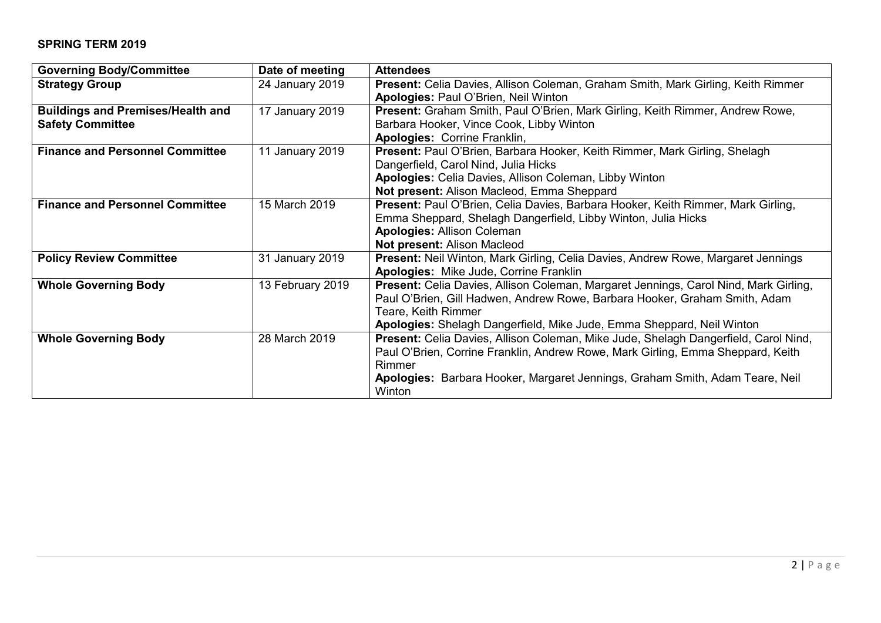## **SPRING TERM 2019**

| <b>Governing Body/Committee</b>          | Date of meeting  | <b>Attendees</b>                                                                        |
|------------------------------------------|------------------|-----------------------------------------------------------------------------------------|
| <b>Strategy Group</b>                    | 24 January 2019  | Present: Celia Davies, Allison Coleman, Graham Smith, Mark Girling, Keith Rimmer        |
|                                          |                  | Apologies: Paul O'Brien, Neil Winton                                                    |
| <b>Buildings and Premises/Health and</b> | 17 January 2019  | Present: Graham Smith, Paul O'Brien, Mark Girling, Keith Rimmer, Andrew Rowe,           |
| <b>Safety Committee</b>                  |                  | Barbara Hooker, Vince Cook, Libby Winton                                                |
|                                          |                  | Apologies: Corrine Franklin,                                                            |
| <b>Finance and Personnel Committee</b>   | 11 January 2019  | Present: Paul O'Brien, Barbara Hooker, Keith Rimmer, Mark Girling, Shelagh              |
|                                          |                  | Dangerfield, Carol Nind, Julia Hicks                                                    |
|                                          |                  | Apologies: Celia Davies, Allison Coleman, Libby Winton                                  |
|                                          |                  | Not present: Alison Macleod, Emma Sheppard                                              |
| <b>Finance and Personnel Committee</b>   | 15 March 2019    | Present: Paul O'Brien, Celia Davies, Barbara Hooker, Keith Rimmer, Mark Girling,        |
|                                          |                  | Emma Sheppard, Shelagh Dangerfield, Libby Winton, Julia Hicks                           |
|                                          |                  | <b>Apologies: Allison Coleman</b>                                                       |
|                                          |                  | Not present: Alison Macleod                                                             |
| <b>Policy Review Committee</b>           | 31 January 2019  | <b>Present:</b> Neil Winton, Mark Girling, Celia Davies, Andrew Rowe, Margaret Jennings |
|                                          |                  | <b>Apologies: Mike Jude, Corrine Franklin</b>                                           |
| <b>Whole Governing Body</b>              | 13 February 2019 | Present: Celia Davies, Allison Coleman, Margaret Jennings, Carol Nind, Mark Girling,    |
|                                          |                  | Paul O'Brien, Gill Hadwen, Andrew Rowe, Barbara Hooker, Graham Smith, Adam              |
|                                          |                  | Teare, Keith Rimmer                                                                     |
|                                          |                  | Apologies: Shelagh Dangerfield, Mike Jude, Emma Sheppard, Neil Winton                   |
| <b>Whole Governing Body</b>              | 28 March 2019    | Present: Celia Davies, Allison Coleman, Mike Jude, Shelagh Dangerfield, Carol Nind,     |
|                                          |                  | Paul O'Brien, Corrine Franklin, Andrew Rowe, Mark Girling, Emma Sheppard, Keith         |
|                                          |                  | Rimmer                                                                                  |
|                                          |                  | Apologies: Barbara Hooker, Margaret Jennings, Graham Smith, Adam Teare, Neil            |
|                                          |                  | Winton                                                                                  |